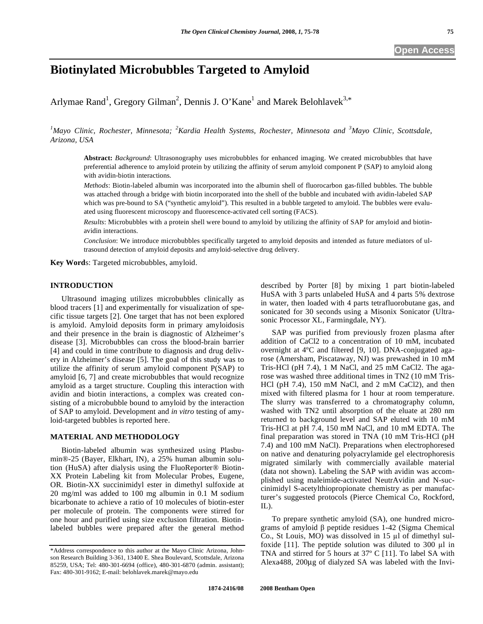# **Biotinylated Microbubbles Targeted to Amyloid**

Arlymae Rand<sup>1</sup>, Gregory Gilman<sup>2</sup>, Dennis J. O'Kane<sup>1</sup> and Marek Belohlavek<sup>3,\*</sup>

*1 Mayo Clinic, Rochester, Minnesota; <sup>2</sup> Kardia Health Systems, Rochester, Minnesota and <sup>3</sup> Mayo Clinic, Scottsdale, Arizona, USA*

**Abstract:** *Background*: Ultrasonography uses microbubbles for enhanced imaging. We created microbubbles that have preferential adherence to amyloid protein by utilizing the affinity of serum amyloid component P (SAP) to amyloid along with avidin-biotin interactions.

*Methods*: Biotin-labeled albumin was incorporated into the albumin shell of fluorocarbon gas-filled bubbles. The bubble was attached through a bridge with biotin incorporated into the shell of the bubble and incubated with avidin-labeled SAP which was pre-bound to SA ("synthetic amyloid"). This resulted in a bubble targeted to amyloid. The bubbles were evaluated using fluorescent microscopy and fluorescence-activated cell sorting (FACS).

*Results*: Microbubbles with a protein shell were bound to amyloid by utilizing the affinity of SAP for amyloid and biotinavidin interactions.

*Conclusion*: We introduce microbubbles specifically targeted to amyloid deposits and intended as future mediators of ultrasound detection of amyloid deposits and amyloid-selective drug delivery.

**Key Word**s: Targeted microbubbles, amyloid.

# **INTRODUCTION**

 Ultrasound imaging utilizes microbubbles clinically as blood tracers [1] and experimentally for visualization of specific tissue targets [2]. One target that has not been explored is amyloid. Amyloid deposits form in primary amyloidosis and their presence in the brain is diagnostic of Alzheimer's disease [3]. Microbubbles can cross the blood-brain barrier [4] and could in time contribute to diagnosis and drug delivery in Alzheimer's disease [5]. The goal of this study was to utilize the affinity of serum amyloid component P(SAP) to amyloid [6, 7] and create microbubbles that would recognize amyloid as a target structure. Coupling this interaction with avidin and biotin interactions, a complex was created consisting of a microbubble bound to amyloid by the interaction of SAP to amyloid. Development and *in vitro* testing of amyloid-targeted bubbles is reported here.

### **MATERIAL AND METHODOLOGY**

 Biotin-labeled albumin was synthesized using Plasbumin®-25 (Bayer, Elkhart, IN), a 25% human albumin solution (HuSA) after dialysis using the FluoReporter® Biotin-XX Protein Labeling kit from Molecular Probes, Eugene, OR. Biotin-XX succinimidyl ester in dimethyl sulfoxide at 20 mg/ml was added to 100 mg albumin in 0.1 M sodium bicarbonate to achieve a ratio of 10 molecules of biotin-ester per molecule of protein. The components were stirred for one hour and purified using size exclusion filtration. Biotinlabeled bubbles were prepared after the general method described by Porter [8] by mixing 1 part biotin-labeled HuSA with 3 parts unlabeled HuSA and 4 parts 5% dextrose in water, then loaded with 4 parts tetrafluorobutane gas, and sonicated for 30 seconds using a Misonix Sonicator (Ultrasonic Processor XL, Farmingdale, NY).

 SAP was purified from previously frozen plasma after addition of CaCl2 to a concentration of 10 mM, incubated overnight at 4ºC and filtered [9, 10]. DNA-conjugated agarose (Amersham, Piscataway, NJ) was prewashed in 10 mM Tris-HCl (pH 7.4), 1 M NaCl, and 25 mM CaCl2. The agarose was washed three additional times in TN2 (10 mM Tris-HCl (pH 7.4), 150 mM NaCl, and 2 mM CaCl2), and then mixed with filtered plasma for 1 hour at room temperature. The slurry was transferred to a chromatography column, washed with TN2 until absorption of the eluate at 280 nm returned to background level and SAP eluted with 10 mM Tris-HCl at pH 7.4, 150 mM NaCl, and 10 mM EDTA. The final preparation was stored in TNA (10 mM Tris-HCl (pH 7.4) and 100 mM NaCl). Preparations when electrophoresed on native and denaturing polyacrylamide gel electrophoresis migrated similarly with commercially available material (data not shown). Labeling the SAP with avidin was accomplished using maleimide-activated NeutrAvidin and N-succinimidyl S-acetylthiopropionate chemistry as per manufacturer's suggested protocols (Pierce Chemical Co, Rockford, IL).

 To prepare synthetic amyloid (SA), one hundred micrograms of amyloid  $\beta$  peptide residues 1-42 (Sigma Chemical Co., St Louis, MO) was dissolved in  $15 \mu l$  of dimethyl sulfoxide  $[11]$ . The peptide solution was diluted to 300  $\mu$ l in TNA and stirred for 5 hours at 37º C [11]. To label SA with Alexa488, 200μg of dialyzed SA was labeled with the Invi-

<sup>\*</sup>Address correspondence to this author at the Mayo Clinic Arizona, Johnson Research Building 3-361, 13400 E. Shea Boulevard, Scottsdale, Arizona 85259, USA; Tel: 480-301-6694 (office), 480-301-6870 (admin. assistant); Fax: 480-301-9162; E-mail: belohlavek.marek@mayo.edu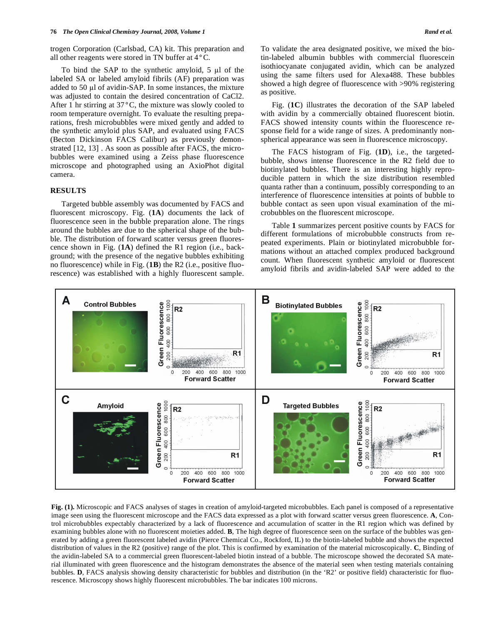trogen Corporation (Carlsbad, CA) kit. This preparation and all other reagents were stored in TN buffer at 4°C.

To bind the SAP to the synthetic amyloid,  $5 \mu l$  of the labeled SA or labeled amyloid fibrils (AF) preparation was added to 50 µl of avidin-SAP. In some instances, the mixture was adjusted to contain the desired concentration of CaCl2. After 1 hr stirring at 37°C, the mixture was slowly cooled to room temperature overnight. To evaluate the resulting preparations, fresh microbubbles were mixed gently and added to the synthetic amyloid plus SAP, and evaluated using FACS (Becton Dickinson FACS Calibur) as previously demonstrated [12, 13] . As soon as possible after FACS, the microbubbles were examined using a Zeiss phase fluorescence microscope and photographed using an AxioPhot digital camera.

## **RESULTS**

 Targeted bubble assembly was documented by FACS and fluorescent microscopy. Fig. (**1A**) documents the lack of fluorescence seen in the bubble preparation alone. The rings around the bubbles are due to the spherical shape of the bubble. The distribution of forward scatter versus green fluorescence shown in Fig. (**1A**) defined the R1 region (i.e., background; with the presence of the negative bubbles exhibiting no fluorescence) while in Fig. (**1B**) the R2 (i.e., positive fluorescence) was established with a highly fluorescent sample.

 Fig. (**1C**) illustrates the decoration of the SAP labeled with avidin by a commercially obtained fluorescent biotin. FACS showed intensity counts within the fluorescence response field for a wide range of sizes. A predominantly nonspherical appearance was seen in fluorescence microscopy.

 The FACS histogram of Fig. (**1D**), i.e., the targetedbubble, shows intense fluorescence in the R2 field due to biotinylated bubbles. There is an interesting highly reproducible pattern in which the size distribution resembled quanta rather than a continuum, possibly corresponding to an interference of fluorescence intensities at points of bubble to bubble contact as seen upon visual examination of the microbubbles on the fluorescent microscope.

 Table **1** summarizes percent positive counts by FACS for different formulations of microbubble constructs from repeated experiments. Plain or biotinylated microbubble formations without an attached complex produced background count. When fluorescent synthetic amyloid or fluorescent amyloid fibrils and avidin-labeled SAP were added to the



**Fig. (1).** Microscopic and FACS analyses of stages in creation of amyloid-targeted microbubbles. Each panel is composed of a representative image seen using the fluorescent microscope and the FACS data expressed as a plot with forward scatter versus green fluorescence. **A**, Control microbubbles expectably characterized by a lack of fluorescence and accumulation of scatter in the R1 region which was defined by examining bubbles alone with no fluorescent moieties added. **B**, The high degree of fluorescence seen on the surface of the bubbles was generated by adding a green fluorescent labeled avidin (Pierce Chemical Co., Rockford, IL) to the biotin-labeled bubble and shows the expected distribution of values in the R2 (positive) range of the plot. This is confirmed by examination of the material microscopically. **C**, Binding of the avidin-labeled SA to a commercial green fluorescent-labeled biotin instead of a bubble. The microscope showed the decorated SA material illuminated with green fluorescence and the histogram demonstrates the absence of the material seen when testing materials containing bubbles. **D**, FACS analysis showing density characteristic for bubbles and distribution (in the 'R2' or positive field) characteristic for fluorescence. Microscopy shows highly fluorescent microbubbles. The bar indicates 100 microns.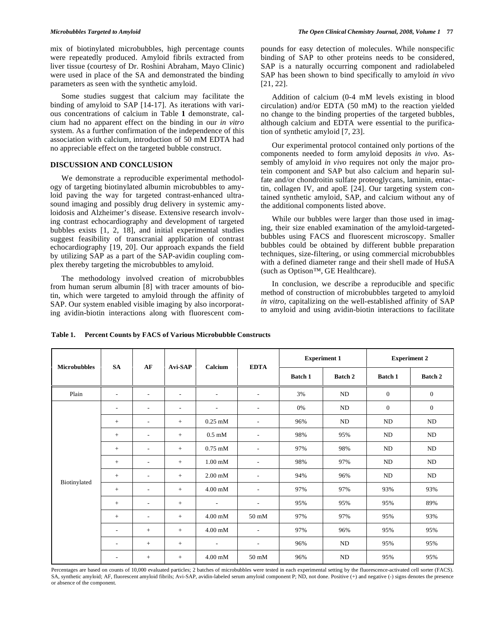mix of biotinylated microbubbles, high percentage counts were repeatedly produced. Amyloid fibrils extracted from liver tissue (courtesy of Dr. Roshini Abraham, Mayo Clinic) were used in place of the SA and demonstrated the binding parameters as seen with the synthetic amyloid.

 Some studies suggest that calcium may facilitate the binding of amyloid to SAP [14-17]. As iterations with various concentrations of calcium in Table **1** demonstrate, calcium had no apparent effect on the binding in our *in vitro* system. As a further confirmation of the independence of this association with calcium, introduction of 50 mM EDTA had no appreciable effect on the targeted bubble construct.

# **DISCUSSION AND CONCLUSION**

 We demonstrate a reproducible experimental methodology of targeting biotinylated albumin microbubbles to amyloid paving the way for targeted contrast-enhanced ultrasound imaging and possibly drug delivery in systemic amyloidosis and Alzheimer's disease. Extensive research involving contrast echocardiography and development of targeted bubbles exists [1, 2, 18], and initial experimental studies suggest feasibility of transcranial application of contrast echocardiography [19, 20]. Our approach expands the field by utilizing SAP as a part of the SAP-avidin coupling complex thereby targeting the microbubbles to amyloid.

 The methodology involved creation of microbubbles from human serum albumin [8] with tracer amounts of biotin, which were targeted to amyloid through the affinity of SAP. Our system enabled visible imaging by also incorporating avidin-biotin interactions along with fluorescent compounds for easy detection of molecules. While nonspecific binding of SAP to other proteins needs to be considered, SAP is a naturally occurring component and radiolabeled SAP has been shown to bind specifically to amyloid *in vivo* [21, 22].

 Addition of calcium (0-4 mM levels existing in blood circulation) and/or EDTA (50 mM) to the reaction yielded no change to the binding properties of the targeted bubbles, although calcium and EDTA were essential to the purification of synthetic amyloid [7, 23].

 Our experimental protocol contained only portions of the components needed to form amyloid deposits *in vivo*. Assembly of amyloid *in vivo* requires not only the major protein component and SAP but also calcium and heparin sulfate and/or chondroitin sulfate proteoglycans, laminin, entactin, collagen IV, and apoE [24]. Our targeting system contained synthetic amyloid, SAP, and calcium without any of the additional components listed above.

 While our bubbles were larger than those used in imaging, their size enabled examination of the amyloid-targetedbubbles using FACS and fluorescent microscopy. Smaller bubbles could be obtained by different bubble preparation techniques, size-filtering, or using commercial microbubbles with a defined diameter range and their shell made of HuSA (such as Optison™, GE Healthcare).

 In conclusion, we describe a reproducible and specific method of construction of microbubbles targeted to amyloid *in vitro*, capitalizing on the well-established affinity of SAP to amyloid and using avidin-biotin interactions to facilitate

| <b>Microbubbles</b> | <b>SA</b>                | AF                       | Avi-SAP                  | Calcium                    | <b>EDTA</b>                  | <b>Experiment 1</b> |                | <b>Experiment 2</b> |                |
|---------------------|--------------------------|--------------------------|--------------------------|----------------------------|------------------------------|---------------------|----------------|---------------------|----------------|
|                     |                          |                          |                          |                            |                              | <b>Batch 1</b>      | <b>Batch 2</b> | <b>Batch 1</b>      | <b>Batch 2</b> |
| Plain               | $\overline{\phantom{a}}$ | $\overline{\phantom{a}}$ | $\overline{\phantom{0}}$ | $\overline{\phantom{a}}$   | $\overline{\phantom{a}}$     | 3%                  | ND             | $\boldsymbol{0}$    | $\mathbf{0}$   |
| Biotinylated        | ۰                        | ٠                        | $\overline{\phantom{a}}$ | $\overline{\phantom{a}}$   | $\qquad \qquad \blacksquare$ | 0%                  | <b>ND</b>      | $\mathbf{0}$        | $\mathbf{0}$   |
|                     | $^{+}$                   | $\overline{\phantom{a}}$ | $^{+}$                   | $0.25$ mM                  | $\overline{\phantom{a}}$     | 96%                 | <b>ND</b>      | ND                  | ND             |
|                     | $\! +$                   | ٠                        | $^{+}$                   | $0.5 \text{ }\mathrm{mM}$  | $\overline{\phantom{a}}$     | 98%                 | 95%            | ND                  | ND             |
|                     | $\! +$                   | $\overline{\phantom{a}}$ | $^{+}$                   | $0.75$ mM                  | $\overline{\phantom{a}}$     | 97%                 | 98%            | ND                  | ND             |
|                     | $\! +$                   | $\overline{\phantom{a}}$ | $+$                      | $1.00 \text{ }\mathrm{mM}$ | $\overline{\phantom{a}}$     | 98%                 | 97%            | ND                  | ND             |
|                     | $\! +$                   | $\overline{\phantom{a}}$ | $^{+}$                   | $2.00 \text{ mM}$          | $\overline{\phantom{a}}$     | 94%                 | 96%            | N <sub>D</sub>      | ND             |
|                     | $\! +$                   | $\overline{\phantom{a}}$ | $^{+}$                   | $4.00 \text{ mM}$          | $\overline{\phantom{a}}$     | 97%                 | 97%            | 93%                 | 93%            |
|                     | $\! +$                   | $\overline{\phantom{a}}$ | $^{+}$                   | $\overline{\phantom{a}}$   | $\overline{\phantom{a}}$     | 95%                 | 95%            | 95%                 | 89%            |
|                     | $\! +$                   | $\overline{\phantom{a}}$ | $^{+}$                   | $4.00 \text{ mM}$          | $50 \text{ mM}$              | 97%                 | 97%            | 95%                 | 93%            |
|                     | $\overline{\phantom{a}}$ | $+$                      | $^{+}$                   | $4.00 \text{ mM}$          | $\overline{\phantom{a}}$     | 97%                 | 96%            | 95%                 | 95%            |
|                     | $\overline{a}$           | $\! +$                   | $^{+}$                   | $\overline{\phantom{a}}$   | $\overline{\phantom{a}}$     | 96%                 | <b>ND</b>      | 95%                 | 95%            |
|                     | $\overline{\phantom{a}}$ | $^{+}$                   | $^{+}$                   | $4.00$ mM                  | $50 \text{ mM}$              | 96%                 | ND             | 95%                 | 95%            |

**Table 1. Percent Counts by FACS of Various Microbubble Constructs** 

Percentages are based on counts of 10,000 evaluated particles; 2 batches of microbubbles were tested in each experimental setting by the fluorescence-activated cell sorter (FACS). SA, synthetic amyloid; AF, fluorescent amyloid fibrils; Avi-SAP, avidin-labeled serum amyloid component P; ND, not done. Positive (+) and negative (-) signs denotes the presence or absence of the component.